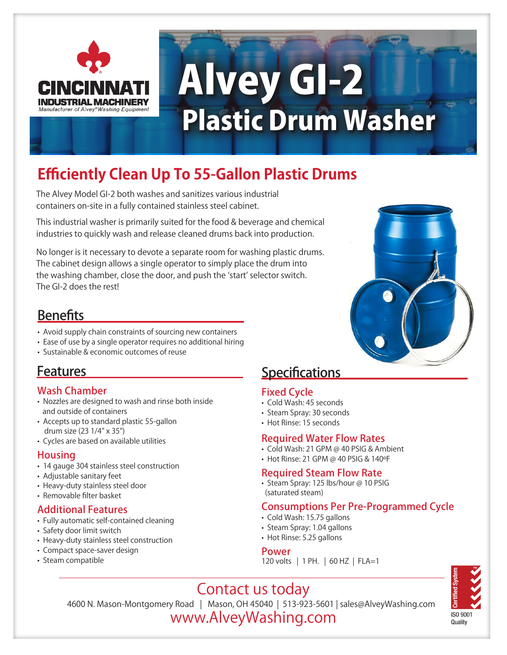

# Alvey GI-2 Plastic Drum Washer

# **Efficiently Clean Up To 55-Gallon Plastic Drums**

The Alvey Model GI-2 both washes and sanitizes various industrial containers on-site in a fully contained stainless steel cabinet.

This industrial washer is primarily suited for the food & beverage and chemical industries to quickly wash and release cleaned drums back into production.

No longer is it necessary to devote a separate room for washing plastic drums. The cabinet design allows a single operator to simply place the drum into the washing chamber, close the door, and push the 'start' selector switch. The GI-2 does the rest!

## **Benefits**

- Avoid supply chain constraints of sourcing new containers
- Ease of use by a single operator requires no additional hiring
- Sustainable & economic outcomes of reuse

### Features

#### Wash Chamber

- Nozzles are designed to wash and rinse both inside and outside of containers
- Accepts up to standard plastic 55-gallon drum size (23 1/4" x 35")
- Cycles are based on available utilities

#### Housing

- 14 gauge 304 stainless steel construction
- Adjustable sanitary feet
- Heavy-duty stainless steel door
- Removable filter basket

#### Additional Features

- Fully automatic self-contained cleaning
- Safety door limit switch
- Heavy-duty stainless steel construction
- Compact space-saver design
- Steam compatible

## **Specifications**

#### Fixed Cycle

- Cold Wash: 45 seconds
- Steam Spray: 30 seconds
- Hot Rinse: 15 seconds

#### Required Water Flow Rates

- Cold Wash: 21 GPM @ 40 PSIG & Ambient
- Hot Rinse: 21 GPM @ 40 PSIG & 140ºF

#### Required Steam Flow Rate

• Steam Spray: 125 lbs/hour @ 10 PSIG (saturated steam)

#### Consumptions Per Pre-Programmed Cycle

- Cold Wash: 15.75 gallons
- Steam Spray: 1.04 gallons
- Hot Rinse: 5.25 gallons

#### Power

120 volts | 1 PH. | 60 HZ | FLA=1

## Contact us today

www.AlveyWashing.com 4600 N. Mason-Montgomery Road | Mason, OH 45040 | 513-923-5601 | sales@AlveyWashing.com